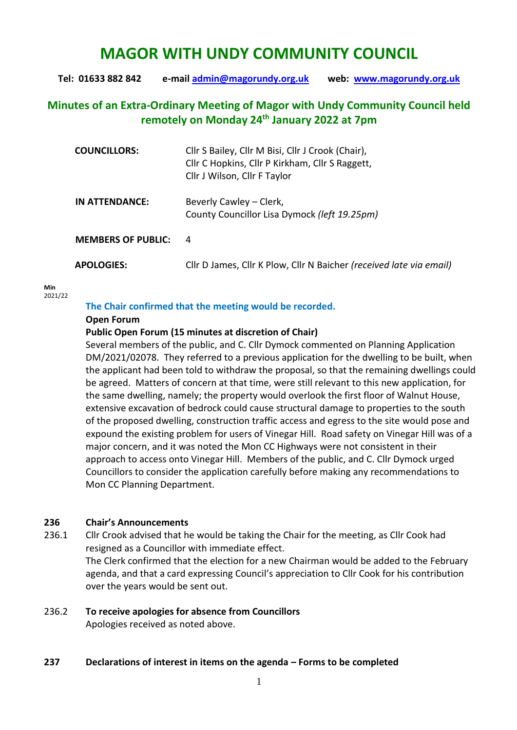# **MAGOR WITH UNDY COMMUNITY COUNCIL**

**Tel: 01633 882 842 e-mail [admin@magorundy.org.uk](mailto:admin@magorundy.org.uk) web: [www.magorundy.org.uk](http://www.magorundy.org.uk/)**

# **Minutes of an Extra-Ordinary Meeting of Magor with Undy Community Council held remotely on Monday 24th January 2022 at 7pm**

| <b>COUNCILLORS:</b>       | Cllr S Bailey, Cllr M Bisi, Cllr J Crook (Chair),<br>Cllr C Hopkins, Cllr P Kirkham, Cllr S Raggett,<br>Cllr J Wilson, Cllr F Taylor |
|---------------------------|--------------------------------------------------------------------------------------------------------------------------------------|
| IN ATTENDANCE:            | Beverly Cawley – Clerk,<br>County Councillor Lisa Dymock (left 19.25pm)                                                              |
| <b>MEMBERS OF PUBLIC:</b> | - 4                                                                                                                                  |
| <b>APOLOGIES:</b>         | Cllr D James, Cllr K Plow, Cllr N Baicher (received late via email)                                                                  |

**Min**  2021/22

#### **The Chair confirmed that the meeting would be recorded.**

#### **Open Forum**

#### **Public Open Forum (15 minutes at discretion of Chair)**

Several members of the public, and C. Cllr Dymock commented on Planning Application DM/2021/02078. They referred to a previous application for the dwelling to be built, when the applicant had been told to withdraw the proposal, so that the remaining dwellings could be agreed. Matters of concern at that time, were still relevant to this new application, for the same dwelling, namely; the property would overlook the first floor of Walnut House, extensive excavation of bedrock could cause structural damage to properties to the south of the proposed dwelling, construction traffic access and egress to the site would pose and expound the existing problem for users of Vinegar Hill. Road safety on Vinegar Hill was of a major concern, and it was noted the Mon CC Highways were not consistent in their approach to access onto Vinegar Hill. Members of the public, and C. Cllr Dymock urged Councillors to consider the application carefully before making any recommendations to Mon CC Planning Department.

#### **236 Chair's Announcements**

236.1 Cllr Crook advised that he would be taking the Chair for the meeting, as Cllr Cook had resigned as a Councillor with immediate effect. The Clerk confirmed that the election for a new Chairman would be added to the February agenda, and that a card expressing Council's appreciation to Cllr Cook for his contribution

over the years would be sent out.

# 236.2 **To receive apologies for absence from Councillors**

Apologies received as noted above.

#### **237 Declarations of interest in items on the agenda – Forms to be completed**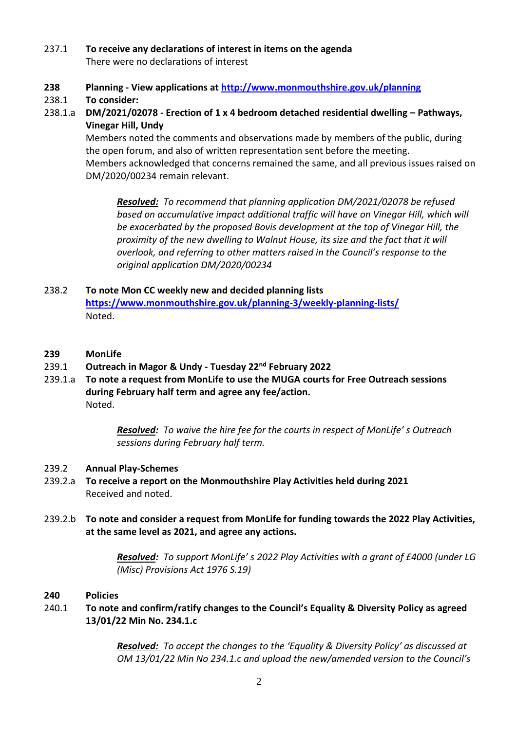# 237.1 **To receive any declarations of interest in items on the agenda** There were no declarations of interest

**238 Planning - View applications a[t http://www.monmouthshire.gov.uk/planning](http://www.monmouthshire.gov.uk/planning)**

# 238.1 **To consider:**

238.1.a **DM/2021/02078 - Erection of 1 x 4 bedroom detached residential dwelling – Pathways, Vinegar Hill, Undy**

Members noted the comments and observations made by members of the public, during the open forum, and also of written representation sent before the meeting. Members acknowledged that concerns remained the same, and all previous issues raised on DM/2020/00234 remain relevant.

*Resolved: To recommend that planning application DM/2021/02078 be refused*  based on accumulative impact additional traffic will have on Vinegar Hill, which will *be exacerbated by the proposed Bovis development at the top of Vinegar Hill, the proximity of the new dwelling to Walnut House, its size and the fact that it will overlook, and referring to other matters raised in the Council's response to the original application DM/2020/00234*

- 238.2 **To note Mon CC weekly new and decided planning lists <https://www.monmouthshire.gov.uk/planning-3/weekly-planning-lists/>** Noted.
- **239 MonLife**
- 239.1 **Outreach in Magor & Undy - Tuesday 22nd February 2022**
- 239.1.a **To note a request from MonLife to use the MUGA courts for Free Outreach sessions during February half term and agree any fee/action.** Noted.

*Resolved: To waive the hire fee for the courts in respect of MonLife' s Outreach sessions during February half term.*

# 239.2 **Annual Play-Schemes**

- 239.2.a **To receive a report on the Monmouthshire Play Activities held during 2021** Received and noted.
- 239.2.b **To note and consider a request from MonLife for funding towards the 2022 Play Activities, at the same level as 2021, and agree any actions.**

*Resolved: To support MonLife' s 2022 Play Activities with a grant of £4000 (under LG (Misc) Provisions Act 1976 S.19)*

# **240 Policies**

# 240.1 **To note and confirm/ratify changes to the Council's Equality & Diversity Policy as agreed 13/01/22 Min No. 234.1.c**

*Resolved: To accept the changes to the 'Equality & Diversity Policy' as discussed at OM 13/01/22 Min No 234.1.c and upload the new/amended version to the Council's*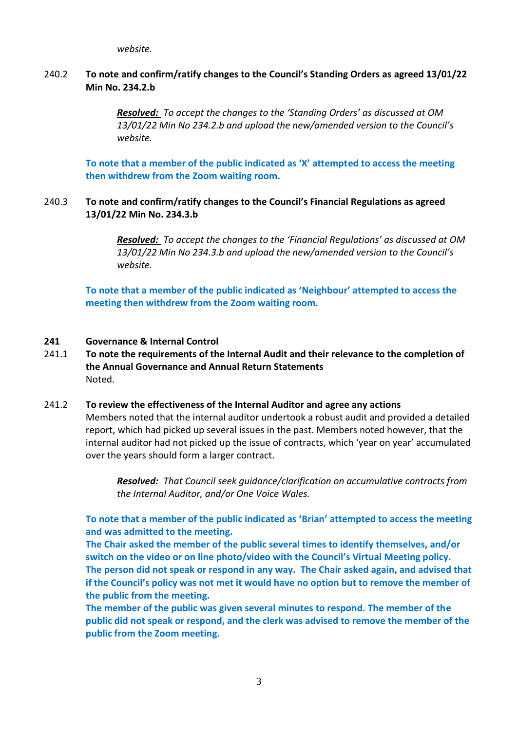*website.*

# 240.2 **To note and confirm/ratify changes to the Council's Standing Orders as agreed 13/01/22 Min No. 234.2.b**

*Resolved: To accept the changes to the 'Standing Orders' as discussed at OM 13/01/22 Min No 234.2.b and upload the new/amended version to the Council's website.*

**To note that a member of the public indicated as 'X' attempted to access the meeting then withdrew from the Zoom waiting room.**

#### 240.3 **To note and confirm/ratify changes to the Council's Financial Regulations as agreed 13/01/22 Min No. 234.3.b**

*Resolved: To accept the changes to the 'Financial Regulations' as discussed at OM 13/01/22 Min No 234.3.b and upload the new/amended version to the Council's website.*

**To note that a member of the public indicated as 'Neighbour' attempted to access the meeting then withdrew from the Zoom waiting room.**

#### **241 Governance & Internal Control**

- 241.1 **To note the requirements of the Internal Audit and their relevance to the completion of the Annual Governance and Annual Return Statements** Noted.
- 241.2 **To review the effectiveness of the Internal Auditor and agree any actions** Members noted that the internal auditor undertook a robust audit and provided a detailed report, which had picked up several issues in the past. Members noted however, that the internal auditor had not picked up the issue of contracts, which 'year on year' accumulated over the years should form a larger contract.

*Resolved: That Council seek guidance/clarification on accumulative contracts from the Internal Auditor, and/or One Voice Wales.*

**To note that a member of the public indicated as 'Brian' attempted to access the meeting and was admitted to the meeting.** 

**The Chair asked the member of the public several times to identify themselves, and/or switch on the video or on line photo/video with the Council's Virtual Meeting policy. The person did not speak or respond in any way. The Chair asked again, and advised that if the Council's policy was not met it would have no option but to remove the member of the public from the meeting.** 

**The member of the public was given several minutes to respond. The member of the public did not speak or respond, and the clerk was advised to remove the member of the public from the Zoom meeting.**